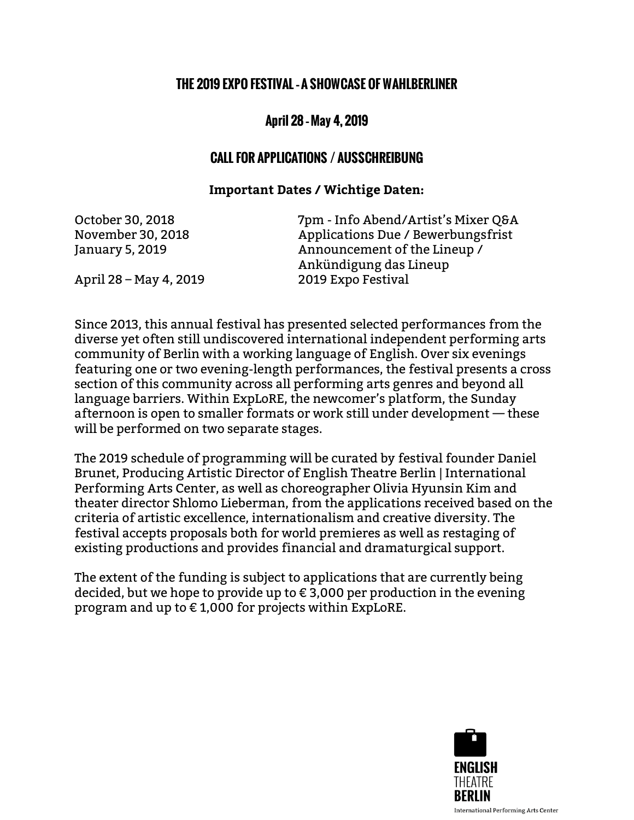## THE 2019 EXPO FESTIVAL –A SHOWCASE OF WAHLBERLINER

## April 28 –May 4, 2019

## CALL FOR APPLICATIONS / AUSSCHREIBUNG

## **Important Dates / Wichtige Daten:**

October 30, 2018 7pm - Info Abend/Artist's Mixer Q&A November 30, 2018 Applications Due / Bewerbungsfrist January 5, 2019 Announcement of the Lineup / Ankündigung das Lineup April 28 – May 4, 2019 2019 Expo Festival

Since 2013, this annual festival has presented selected performances from the diverse yet often still undiscovered international independent performing arts community of Berlin with a working language of English. Over six evenings featuring one or two evening-length performances, the festival presents a cross section of this community across all performing arts genres and beyond all language barriers. Within ExpLoRE, the newcomer's platform, the Sunday afternoon is open to smaller formats or work still under development — these will be performed on two separate stages.

The 2019 schedule of programming will be curated by festival founder Daniel Brunet, Producing Artistic Director of English Theatre Berlin | International Performing Arts Center, as well as choreographer Olivia Hyunsin Kim and theater director Shlomo Lieberman, from the applications received based on the criteria of artistic excellence, internationalism and creative diversity. The festival accepts proposals both for world premieres as well as restaging of existing productions and provides financial and dramaturgical support.

The extent of the funding is subject to applications that are currently being decided, but we hope to provide up to  $\epsilon$  3,000 per production in the evening program and up to € 1,000 for projects within ExpLoRE.